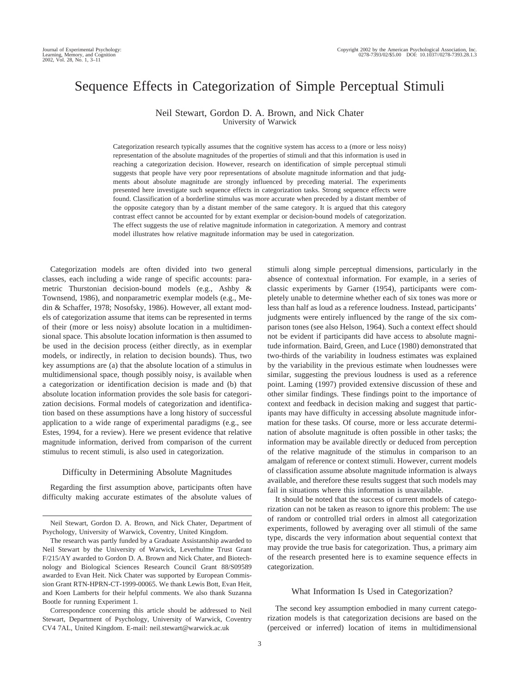# Sequence Effects in Categorization of Simple Perceptual Stimuli

Neil Stewart, Gordon D. A. Brown, and Nick Chater University of Warwick

Categorization research typically assumes that the cognitive system has access to a (more or less noisy) representation of the absolute magnitudes of the properties of stimuli and that this information is used in reaching a categorization decision. However, research on identification of simple perceptual stimuli suggests that people have very poor representations of absolute magnitude information and that judgments about absolute magnitude are strongly influenced by preceding material. The experiments presented here investigate such sequence effects in categorization tasks. Strong sequence effects were found. Classification of a borderline stimulus was more accurate when preceded by a distant member of the opposite category than by a distant member of the same category. It is argued that this category contrast effect cannot be accounted for by extant exemplar or decision-bound models of categorization. The effect suggests the use of relative magnitude information in categorization. A memory and contrast model illustrates how relative magnitude information may be used in categorization.

Categorization models are often divided into two general classes, each including a wide range of specific accounts: parametric Thurstonian decision-bound models (e.g., Ashby & Townsend, 1986), and nonparametric exemplar models (e.g., Medin & Schaffer, 1978; Nosofsky, 1986). However, all extant models of categorization assume that items can be represented in terms of their (more or less noisy) absolute location in a multidimensional space. This absolute location information is then assumed to be used in the decision process (either directly, as in exemplar models, or indirectly, in relation to decision bounds). Thus, two key assumptions are (a) that the absolute location of a stimulus in multidimensional space, though possibly noisy, is available when a categorization or identification decision is made and (b) that absolute location information provides the sole basis for categorization decisions. Formal models of categorization and identification based on these assumptions have a long history of successful application to a wide range of experimental paradigms (e.g., see Estes, 1994, for a review). Here we present evidence that relative magnitude information, derived from comparison of the current stimulus to recent stimuli, is also used in categorization.

#### Difficulty in Determining Absolute Magnitudes

Regarding the first assumption above, participants often have difficulty making accurate estimates of the absolute values of

Correspondence concerning this article should be addressed to Neil Stewart, Department of Psychology, University of Warwick, Coventry CV4 7AL, United Kingdom. E-mail: neil.stewart@warwick.ac.uk

stimuli along simple perceptual dimensions, particularly in the absence of contextual information. For example, in a series of classic experiments by Garner (1954), participants were completely unable to determine whether each of six tones was more or less than half as loud as a reference loudness. Instead, participants' judgments were entirely influenced by the range of the six comparison tones (see also Helson, 1964). Such a context effect should not be evident if participants did have access to absolute magnitude information. Baird, Green, and Luce (1980) demonstrated that two-thirds of the variability in loudness estimates was explained by the variability in the previous estimate when loudnesses were similar, suggesting the previous loudness is used as a reference point. Laming (1997) provided extensive discussion of these and other similar findings. These findings point to the importance of context and feedback in decision making and suggest that participants may have difficulty in accessing absolute magnitude information for these tasks. Of course, more or less accurate determination of absolute magnitude is often possible in other tasks; the information may be available directly or deduced from perception of the relative magnitude of the stimulus in comparison to an amalgam of reference or context stimuli. However, current models of classification assume absolute magnitude information is always available, and therefore these results suggest that such models may fail in situations where this information is unavailable.

It should be noted that the success of current models of categorization can not be taken as reason to ignore this problem: The use of random or controlled trial orders in almost all categorization experiments, followed by averaging over all stimuli of the same type, discards the very information about sequential context that may provide the true basis for categorization. Thus, a primary aim of the research presented here is to examine sequence effects in categorization.

#### What Information Is Used in Categorization?

The second key assumption embodied in many current categorization models is that categorization decisions are based on the (perceived or inferred) location of items in multidimensional

Neil Stewart, Gordon D. A. Brown, and Nick Chater, Department of Psychology, University of Warwick, Coventry, United Kingdom.

The research was partly funded by a Graduate Assistantship awarded to Neil Stewart by the University of Warwick, Leverhulme Trust Grant F/215/AY awarded to Gordon D. A. Brown and Nick Chater, and Biotechnology and Biological Sciences Research Council Grant 88/S09589 awarded to Evan Heit. Nick Chater was supported by European Commission Grant RTN-HPRN-CT-1999-00065. We thank Lewis Bott, Evan Heit, and Koen Lamberts for their helpful comments. We also thank Suzanna Bootle for running Experiment 1.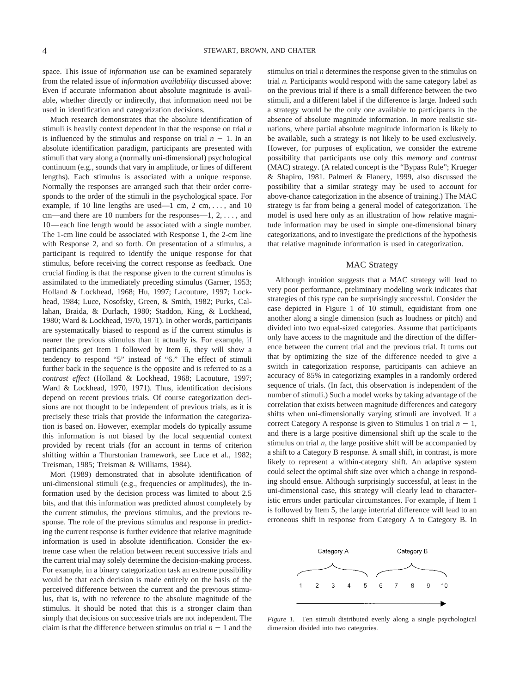space. This issue of *information use* can be examined separately from the related issue of *information availability* discussed above: Even if accurate information about absolute magnitude is available, whether directly or indirectly, that information need not be used in identification and categorization decisions.

Much research demonstrates that the absolute identification of stimuli is heavily context dependent in that the response on trial *n* is influenced by the stimulus and response on trial  $n - 1$ . In an absolute identification paradigm, participants are presented with stimuli that vary along a (normally uni-dimensional) psychological continuum (e.g., sounds that vary in amplitude, or lines of different lengths). Each stimulus is associated with a unique response. Normally the responses are arranged such that their order corresponds to the order of the stimuli in the psychological space. For example, if 10 line lengths are used—1 cm,  $2 \text{ cm}, \ldots$ , and 10 cm—and there are 10 numbers for the responses—1, 2, . . . , and 10—each line length would be associated with a single number. The 1-cm line could be associated with Response 1, the 2-cm line with Response 2, and so forth. On presentation of a stimulus, a participant is required to identify the unique response for that stimulus, before receiving the correct response as feedback. One crucial finding is that the response given to the current stimulus is assimilated to the immediately preceding stimulus (Garner, 1953; Holland & Lockhead, 1968; Hu, 1997; Lacouture, 1997; Lockhead, 1984; Luce, Nosofsky, Green, & Smith, 1982; Purks, Callahan, Braida, & Durlach, 1980; Staddon, King, & Lockhead, 1980; Ward & Lockhead, 1970, 1971). In other words, participants are systematically biased to respond as if the current stimulus is nearer the previous stimulus than it actually is. For example, if participants get Item 1 followed by Item 6, they will show a tendency to respond "5" instead of "6." The effect of stimuli further back in the sequence is the opposite and is referred to as a *contrast effect* (Holland & Lockhead, 1968; Lacouture, 1997; Ward & Lockhead, 1970, 1971). Thus, identification decisions depend on recent previous trials. Of course categorization decisions are not thought to be independent of previous trials, as it is precisely these trials that provide the information the categorization is based on. However, exemplar models do typically assume this information is not biased by the local sequential context provided by recent trials (for an account in terms of criterion shifting within a Thurstonian framework, see Luce et al., 1982; Treisman, 1985; Treisman & Williams, 1984).

Mori (1989) demonstrated that in absolute identification of uni-dimensional stimuli (e.g., frequencies or amplitudes), the information used by the decision process was limited to about 2.5 bits, and that this information was predicted almost completely by the current stimulus, the previous stimulus, and the previous response. The role of the previous stimulus and response in predicting the current response is further evidence that relative magnitude information is used in absolute identification. Consider the extreme case when the relation between recent successive trials and the current trial may solely determine the decision-making process. For example, in a binary categorization task an extreme possibility would be that each decision is made entirely on the basis of the perceived difference between the current and the previous stimulus, that is, with no reference to the absolute magnitude of the stimulus. It should be noted that this is a stronger claim than simply that decisions on successive trials are not independent. The claim is that the difference between stimulus on trial  $n - 1$  and the stimulus on trial *n* determines the response given to the stimulus on trial *n.* Participants would respond with the same category label as on the previous trial if there is a small difference between the two stimuli, and a different label if the difference is large. Indeed such a strategy would be the only one available to participants in the absence of absolute magnitude information. In more realistic situations, where partial absolute magnitude information is likely to be available, such a strategy is not likely to be used exclusively. However, for purposes of explication, we consider the extreme possibility that participants use only this *memory and contrast* (MAC) strategy. (A related concept is the "Bypass Rule"; Krueger & Shapiro, 1981. Palmeri & Flanery, 1999, also discussed the possibility that a similar strategy may be used to account for above-chance categorization in the absence of training.) The MAC strategy is far from being a general model of categorization. The model is used here only as an illustration of how relative magnitude information may be used in simple one-dimensional binary categorizations, and to investigate the predictions of the hypothesis that relative magnitude information is used in categorization.

## MAC Strategy

Although intuition suggests that a MAC strategy will lead to very poor performance, preliminary modeling work indicates that strategies of this type can be surprisingly successful. Consider the case depicted in Figure 1 of 10 stimuli, equidistant from one another along a single dimension (such as loudness or pitch) and divided into two equal-sized categories. Assume that participants only have access to the magnitude and the direction of the difference between the current trial and the previous trial. It turns out that by optimizing the size of the difference needed to give a switch in categorization response, participants can achieve an accuracy of 85% in categorizing examples in a randomly ordered sequence of trials. (In fact, this observation is independent of the number of stimuli.) Such a model works by taking advantage of the correlation that exists between magnitude differences and category shifts when uni-dimensionally varying stimuli are involved. If a correct Category A response is given to Stimulus 1 on trial  $n - 1$ , and there is a large positive dimensional shift up the scale to the stimulus on trial *n,* the large positive shift will be accompanied by a shift to a Category B response. A small shift, in contrast, is more likely to represent a within-category shift. An adaptive system could select the optimal shift size over which a change in responding should ensue. Although surprisingly successful, at least in the uni-dimensional case, this strategy will clearly lead to characteristic errors under particular circumstances. For example, if Item 1 is followed by Item 5, the large intertrial difference will lead to an erroneous shift in response from Category A to Category B. In



*Figure 1.* Ten stimuli distributed evenly along a single psychological dimension divided into two categories.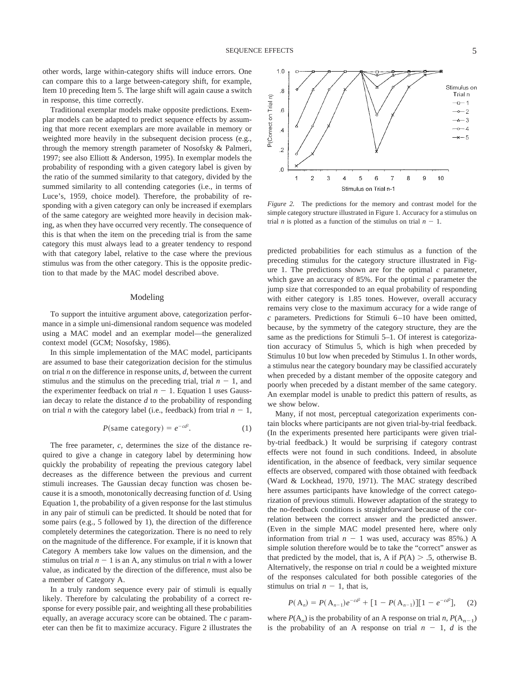other words, large within-category shifts will induce errors. One can compare this to a large between-category shift, for example, Item 10 preceding Item 5. The large shift will again cause a switch in response, this time correctly.

Traditional exemplar models make opposite predictions. Exemplar models can be adapted to predict sequence effects by assuming that more recent exemplars are more available in memory or weighted more heavily in the subsequent decision process (e.g., through the memory strength parameter of Nosofsky & Palmeri, 1997; see also Elliott & Anderson, 1995). In exemplar models the probability of responding with a given category label is given by the ratio of the summed similarity to that category, divided by the summed similarity to all contending categories (i.e., in terms of Luce's, 1959, choice model). Therefore, the probability of responding with a given category can only be increased if exemplars of the same category are weighted more heavily in decision making, as when they have occurred very recently. The consequence of this is that when the item on the preceding trial is from the same category this must always lead to a greater tendency to respond with that category label, relative to the case where the previous stimulus was from the other category. This is the opposite prediction to that made by the MAC model described above.

## Modeling

To support the intuitive argument above, categorization performance in a simple uni-dimensional random sequence was modeled using a MAC model and an exemplar model—the generalized context model (GCM; Nosofsky, 1986).

In this simple implementation of the MAC model, participants are assumed to base their categorization decision for the stimulus on trial *n* on the difference in response units, *d,* between the current stimulus and the stimulus on the preceding trial, trial  $n - 1$ , and the experimenter feedback on trial  $n - 1$ . Equation 1 uses Gaussian decay to relate the distance *d* to the probability of responding on trial *n* with the category label (i.e., feedback) from trial  $n - 1$ ,

$$
P(\text{same category}) = e^{-cd^2}.\tag{1}
$$

The free parameter, *c,* determines the size of the distance required to give a change in category label by determining how quickly the probability of repeating the previous category label decreases as the difference between the previous and current stimuli increases. The Gaussian decay function was chosen because it is a smooth, monotonically decreasing function of *d.* Using Equation 1, the probability of a given response for the last stimulus in any pair of stimuli can be predicted. It should be noted that for some pairs (e.g., 5 followed by 1), the direction of the difference completely determines the categorization. There is no need to rely on the magnitude of the difference. For example, if it is known that Category A members take low values on the dimension, and the stimulus on trial  $n - 1$  is an A, any stimulus on trial *n* with a lower value, as indicated by the direction of the difference, must also be a member of Category A.

In a truly random sequence every pair of stimuli is equally likely. Therefore by calculating the probability of a correct response for every possible pair, and weighting all these probabilities equally, an average accuracy score can be obtained. The *c* parameter can then be fit to maximize accuracy. Figure 2 illustrates the



*Figure 2.* The predictions for the memory and contrast model for the simple category structure illustrated in Figure 1. Accuracy for a stimulus on trial *n* is plotted as a function of the stimulus on trial  $n - 1$ .

predicted probabilities for each stimulus as a function of the preceding stimulus for the category structure illustrated in Figure 1. The predictions shown are for the optimal *c* parameter, which gave an accuracy of 85%. For the optimal *c* parameter the jump size that corresponded to an equal probability of responding with either category is 1.85 tones. However, overall accuracy remains very close to the maximum accuracy for a wide range of *c* parameters. Predictions for Stimuli 6–10 have been omitted, because, by the symmetry of the category structure, they are the same as the predictions for Stimuli 5–1. Of interest is categorization accuracy of Stimulus 5, which is high when preceded by Stimulus 10 but low when preceded by Stimulus 1. In other words, a stimulus near the category boundary may be classified accurately when preceded by a distant member of the opposite category and poorly when preceded by a distant member of the same category. An exemplar model is unable to predict this pattern of results, as we show below.

Many, if not most, perceptual categorization experiments contain blocks where participants are not given trial-by-trial feedback. (In the experiments presented here participants were given trialby-trial feedback.) It would be surprising if category contrast effects were not found in such conditions. Indeed, in absolute identification, in the absence of feedback, very similar sequence effects are observed, compared with those obtained with feedback (Ward & Lockhead, 1970, 1971). The MAC strategy described here assumes participants have knowledge of the correct categorization of previous stimuli. However adaptation of the strategy to the no-feedback conditions is straightforward because of the correlation between the correct answer and the predicted answer. (Even in the simple MAC model presented here, where only information from trial  $n - 1$  was used, accuracy was 85%.) A simple solution therefore would be to take the "correct" answer as that predicted by the model, that is, A if  $P(A) > .5$ , otherwise B. Alternatively, the response on trial *n* could be a weighted mixture of the responses calculated for both possible categories of the stimulus on trial  $n - 1$ , that is,

$$
P(A_n) = P(A_{n-1})e^{-cd^2} + [1 - P(A_{n-1})][1 - e^{-cd^2}], \quad (2)
$$

where  $P(A_n)$  is the probability of an A response on trial *n*,  $P(A_{n-1})$ is the probability of an A response on trial  $n - 1$ , *d* is the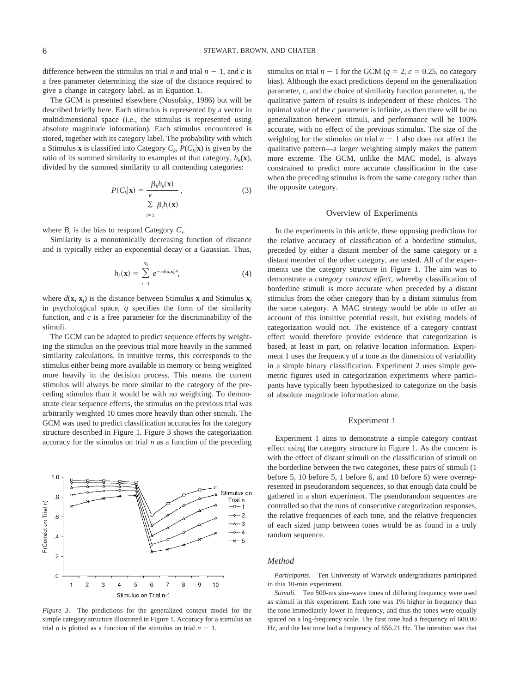difference between the stimulus on trial *n* and trial  $n - 1$ , and *c* is a free parameter determining the size of the distance required to give a change in category label, as in Equation 1.

The GCM is presented elsewhere (Nosofsky, 1986) but will be described briefly here. Each stimulus is represented by a vector in multidimensional space (i.e., the stimulus is represented using absolute magnitude information). Each stimulus encountered is stored, together with its category label. The probability with which a Stimulus **x** is classified into Category  $C_k$ ,  $P(C_k|\mathbf{x})$  is given by the ratio of its summed similarity to examples of that category,  $h_k(\mathbf{x})$ , divided by the summed similarity to all contending categories:

$$
P(C_k|\mathbf{x}) = \frac{\beta_k h_k(\mathbf{x})}{\sum\limits_{i=1}^K \beta_i h_i(\mathbf{x})},
$$
\n(3)

where  $B_i$  is the bias to respond Category  $C_i$ .

Similarity is a monotonically decreasing function of distance and is typically either an exponential decay or a Gaussian. Thus,

$$
h_k(\mathbf{x}) = \sum_{i=1}^{N_k} e^{-cd(\mathbf{x}, \mathbf{x}_i)^q}, \tag{4}
$$

where  $d(\mathbf{x}, \mathbf{x}_i)$  is the distance between Stimulus **x** and Stimulus  $\mathbf{x}_i$ in psychological space, *q* specifies the form of the similarity function, and *c* is a free parameter for the discriminability of the stimuli.

The GCM can be adapted to predict sequence effects by weighting the stimulus on the previous trial more heavily in the summed similarity calculations. In intuitive terms, this corresponds to the stimulus either being more available in memory or being weighted more heavily in the decision process. This means the current stimulus will always be more similar to the category of the preceding stimulus than it would be with no weighting. To demonstrate clear sequence effects, the stimulus on the previous trial was arbitrarily weighted 10 times more heavily than other stimuli. The GCM was used to predict classification accuracies for the category structure described in Figure 1. Figure 3 shows the categorization accuracy for the stimulus on trial *n* as a function of the preceding



*Figure 3.* The predictions for the generalized context model for the simple category structure illustrated in Figure 1. Accuracy for a stimulus on trial *n* is plotted as a function of the stimulus on trial  $n - 1$ .

stimulus on trial  $n - 1$  for the GCM ( $q = 2$ ,  $c = 0.25$ , no category bias). Although the exact predictions depend on the generalization parameter, *c,* and the choice of similarity function parameter, *q,* the qualitative pattern of results is independent of these choices. The optimal value of the *c* parameter is infinite, as then there will be no generalization between stimuli, and performance will be 100% accurate, with no effect of the previous stimulus. The size of the weighting for the stimulus on trial  $n - 1$  also does not affect the qualitative pattern—a larger weighting simply makes the pattern more extreme. The GCM, unlike the MAC model, is always constrained to predict more accurate classification in the case when the preceding stimulus is from the same category rather than the opposite category.

## Overview of Experiments

In the experiments in this article, these opposing predictions for the relative accuracy of classification of a borderline stimulus, preceded by either a distant member of the same category or a distant member of the other category, are tested. All of the experiments use the category structure in Figure 1. The aim was to demonstrate a *category contrast effect,* whereby classification of borderline stimuli is more accurate when preceded by a distant stimulus from the other category than by a distant stimulus from the same category. A MAC strategy would be able to offer an account of this intuitive potential result, but existing models of categorization would not. The existence of a category contrast effect would therefore provide evidence that categorization is based, at least in part, on relative location information. Experiment 1 uses the frequency of a tone as the dimension of variability in a simple binary classification. Experiment 2 uses simple geometric figures used in categorization experiments where participants have typically been hypothesized to categorize on the basis of absolute magnitude information alone.

# Experiment 1

Experiment 1 aims to demonstrate a simple category contrast effect using the category structure in Figure 1. As the concern is with the effect of distant stimuli on the classification of stimuli on the borderline between the two categories, these pairs of stimuli (1 before 5, 10 before 5, 1 before 6, and 10 before 6) were overrepresented in pseudorandom sequences, so that enough data could be gathered in a short experiment. The pseudorandom sequences are controlled so that the runs of consecutive categorization responses, the relative frequencies of each tone, and the relative frequencies of each sized jump between tones would be as found in a truly random sequence.

#### *Method*

*Participants.* Ten University of Warwick undergraduates participated in this 10-min experiment.

*Stimuli.* Ten 500-ms sine-wave tones of differing frequency were used as stimuli in this experiment. Each tone was 1% higher in frequency than the tone immediately lower in frequency, and thus the tones were equally spaced on a log-frequency scale. The first tone had a frequency of 600.00 Hz, and the last tone had a frequency of 656.21 Hz. The intention was that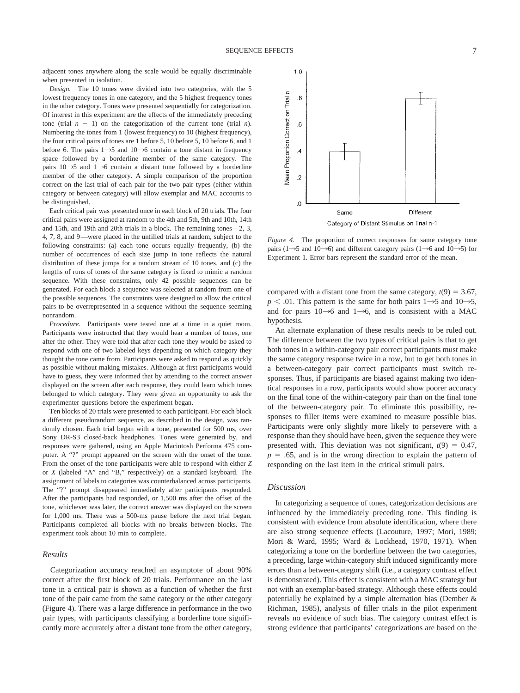adjacent tones anywhere along the scale would be equally discriminable when presented in isolation.

*Design.* The 10 tones were divided into two categories, with the 5 lowest frequency tones in one category, and the 5 highest frequency tones in the other category. Tones were presented sequentially for categorization. Of interest in this experiment are the effects of the immediately preceding tone (trial  $n - 1$ ) on the categorization of the current tone (trial *n*). Numbering the tones from 1 (lowest frequency) to 10 (highest frequency), the four critical pairs of tones are 1 before 5, 10 before 5, 10 before 6, and 1 before 6. The pairs  $1\rightarrow 5$  and  $10\rightarrow 6$  contain a tone distant in frequency space followed by a borderline member of the same category. The pairs  $10\rightarrow 5$  and  $1\rightarrow 6$  contain a distant tone followed by a borderline member of the other category. A simple comparison of the proportion correct on the last trial of each pair for the two pair types (either within category or between category) will allow exemplar and MAC accounts to be distinguished.

Each critical pair was presented once in each block of 20 trials. The four critical pairs were assigned at random to the 4th and 5th, 9th and 10th, 14th and 15th, and 19th and 20th trials in a block. The remaining tones—2, 3, 4, 7, 8, and 9—were placed in the unfilled trials at random, subject to the following constraints: (a) each tone occurs equally frequently, (b) the number of occurrences of each size jump in tone reflects the natural distribution of these jumps for a random stream of 10 tones, and (c) the lengths of runs of tones of the same category is fixed to mimic a random sequence. With these constraints, only 42 possible sequences can be generated. For each block a sequence was selected at random from one of the possible sequences. The constraints were designed to allow the critical pairs to be overrepresented in a sequence without the sequence seeming nonrandom.

*Procedure.* Participants were tested one at a time in a quiet room. Participants were instructed that they would hear a number of tones, one after the other. They were told that after each tone they would be asked to respond with one of two labeled keys depending on which category they thought the tone came from. Participants were asked to respond as quickly as possible without making mistakes. Although at first participants would have to guess, they were informed that by attending to the correct answer displayed on the screen after each response, they could learn which tones belonged to which category. They were given an opportunity to ask the experimenter questions before the experiment began.

Ten blocks of 20 trials were presented to each participant. For each block a different pseudorandom sequence, as described in the design, was randomly chosen. Each trial began with a tone, presented for 500 ms, over Sony DR-S3 closed-back headphones. Tones were generated by, and responses were gathered, using an Apple Macintosh Performa 475 computer. A "?" prompt appeared on the screen with the onset of the tone. From the onset of the tone participants were able to respond with either *Z* or *X* (labeled "A" and "B," respectively) on a standard keyboard. The assignment of labels to categories was counterbalanced across participants. The "?" prompt disappeared immediately after participants responded. After the participants had responded, or 1,500 ms after the offset of the tone, whichever was later, the correct answer was displayed on the screen for 1,000 ms. There was a 500-ms pause before the next trial began. Participants completed all blocks with no breaks between blocks. The experiment took about 10 min to complete.

## *Results*

Categorization accuracy reached an asymptote of about 90% correct after the first block of 20 trials. Performance on the last tone in a critical pair is shown as a function of whether the first tone of the pair came from the same category or the other category (Figure 4). There was a large difference in performance in the two pair types, with participants classifying a borderline tone significantly more accurately after a distant tone from the other category,



*Figure 4.* The proportion of correct responses for same category tone pairs (1 $\rightarrow$ 5 and 10 $\rightarrow$ 6) and different category pairs (1 $\rightarrow$ 6 and 10 $\rightarrow$ 5) for Experiment 1. Error bars represent the standard error of the mean.

compared with a distant tone from the same category,  $t(9) = 3.67$ ,  $p < .01$ . This pattern is the same for both pairs  $1\rightarrow 5$  and  $10\rightarrow 5$ , and for pairs  $10\rightarrow6$  and  $1\rightarrow6$ , and is consistent with a MAC hypothesis.

An alternate explanation of these results needs to be ruled out. The difference between the two types of critical pairs is that to get both tones in a within-category pair correct participants must make the same category response twice in a row, but to get both tones in a between-category pair correct participants must switch responses. Thus, if participants are biased against making two identical responses in a row, participants would show poorer accuracy on the final tone of the within-category pair than on the final tone of the between-category pair. To eliminate this possibility, responses to filler items were examined to measure possible bias. Participants were only slightly more likely to persevere with a response than they should have been, given the sequence they were presented with. This deviation was not significant,  $t(9) = 0.47$ ,  $p = .65$ , and is in the wrong direction to explain the pattern of responding on the last item in the critical stimuli pairs.

#### *Discussion*

In categorizing a sequence of tones, categorization decisions are influenced by the immediately preceding tone. This finding is consistent with evidence from absolute identification, where there are also strong sequence effects (Lacouture, 1997; Mori, 1989; Mori & Ward, 1995; Ward & Lockhead, 1970, 1971). When categorizing a tone on the borderline between the two categories, a preceding, large within-category shift induced significantly more errors than a between-category shift (i.e., a category contrast effect is demonstrated). This effect is consistent with a MAC strategy but not with an exemplar-based strategy. Although these effects could potentially be explained by a simple alternation bias (Dember & Richman, 1985), analysis of filler trials in the pilot experiment reveals no evidence of such bias. The category contrast effect is strong evidence that participants' categorizations are based on the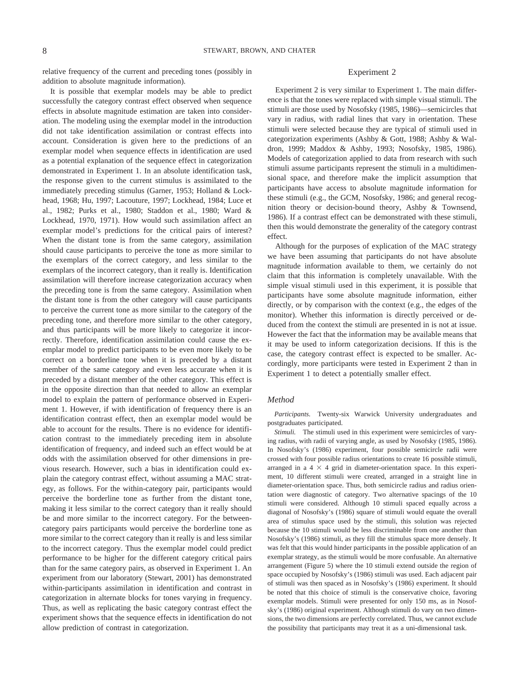relative frequency of the current and preceding tones (possibly in addition to absolute magnitude information).

It is possible that exemplar models may be able to predict successfully the category contrast effect observed when sequence effects in absolute magnitude estimation are taken into consideration. The modeling using the exemplar model in the introduction did not take identification assimilation or contrast effects into account. Consideration is given here to the predictions of an exemplar model when sequence effects in identification are used as a potential explanation of the sequence effect in categorization demonstrated in Experiment 1. In an absolute identification task, the response given to the current stimulus is assimilated to the immediately preceding stimulus (Garner, 1953; Holland & Lockhead, 1968; Hu, 1997; Lacouture, 1997; Lockhead, 1984; Luce et al., 1982; Purks et al., 1980; Staddon et al., 1980; Ward & Lockhead, 1970, 1971). How would such assimilation affect an exemplar model's predictions for the critical pairs of interest? When the distant tone is from the same category, assimilation should cause participants to perceive the tone as more similar to the exemplars of the correct category, and less similar to the exemplars of the incorrect category, than it really is. Identification assimilation will therefore increase categorization accuracy when the preceding tone is from the same category. Assimilation when the distant tone is from the other category will cause participants to perceive the current tone as more similar to the category of the preceding tone, and therefore more similar to the other category, and thus participants will be more likely to categorize it incorrectly. Therefore, identification assimilation could cause the exemplar model to predict participants to be even more likely to be correct on a borderline tone when it is preceded by a distant member of the same category and even less accurate when it is preceded by a distant member of the other category. This effect is in the opposite direction than that needed to allow an exemplar model to explain the pattern of performance observed in Experiment 1. However, if with identification of frequency there is an identification contrast effect, then an exemplar model would be able to account for the results. There is no evidence for identification contrast to the immediately preceding item in absolute identification of frequency, and indeed such an effect would be at odds with the assimilation observed for other dimensions in previous research. However, such a bias in identification could explain the category contrast effect, without assuming a MAC strategy, as follows. For the within-category pair, participants would perceive the borderline tone as further from the distant tone, making it less similar to the correct category than it really should be and more similar to the incorrect category. For the betweencategory pairs participants would perceive the borderline tone as more similar to the correct category than it really is and less similar to the incorrect category. Thus the exemplar model could predict performance to be higher for the different category critical pairs than for the same category pairs, as observed in Experiment 1. An experiment from our laboratory (Stewart, 2001) has demonstrated within-participants assimilation in identification and contrast in categorization in alternate blocks for tones varying in frequency. Thus, as well as replicating the basic category contrast effect the experiment shows that the sequence effects in identification do not allow prediction of contrast in categorization.

#### Experiment 2

Experiment 2 is very similar to Experiment 1. The main difference is that the tones were replaced with simple visual stimuli. The stimuli are those used by Nosofsky (1985, 1986)—semicircles that vary in radius, with radial lines that vary in orientation. These stimuli were selected because they are typical of stimuli used in categorization experiments (Ashby & Gott, 1988; Ashby & Waldron, 1999; Maddox & Ashby, 1993; Nosofsky, 1985, 1986). Models of categorization applied to data from research with such stimuli assume participants represent the stimuli in a multidimensional space, and therefore make the implicit assumption that participants have access to absolute magnitude information for these stimuli (e.g., the GCM, Nosofsky, 1986; and general recognition theory or decision-bound theory, Ashby & Townsend, 1986). If a contrast effect can be demonstrated with these stimuli, then this would demonstrate the generality of the category contrast effect.

Although for the purposes of explication of the MAC strategy we have been assuming that participants do not have absolute magnitude information available to them, we certainly do not claim that this information is completely unavailable. With the simple visual stimuli used in this experiment, it is possible that participants have some absolute magnitude information, either directly, or by comparison with the context (e.g., the edges of the monitor). Whether this information is directly perceived or deduced from the context the stimuli are presented in is not at issue. However the fact that the information may be available means that it may be used to inform categorization decisions. If this is the case, the category contrast effect is expected to be smaller. Accordingly, more participants were tested in Experiment 2 than in Experiment 1 to detect a potentially smaller effect.

# *Method*

*Participants.* Twenty-six Warwick University undergraduates and postgraduates participated.

*Stimuli.* The stimuli used in this experiment were semicircles of varying radius, with radii of varying angle, as used by Nosofsky (1985, 1986). In Nosofsky's (1986) experiment, four possible semicircle radii were crossed with four possible radius orientations to create 16 possible stimuli, arranged in a 4  $\times$  4 grid in diameter-orientation space. In this experiment, 10 different stimuli were created, arranged in a straight line in diameter-orientation space. Thus, both semicircle radius and radius orientation were diagnostic of category. Two alternative spacings of the 10 stimuli were considered. Although 10 stimuli spaced equally across a diagonal of Nosofsky's (1986) square of stimuli would equate the overall area of stimulus space used by the stimuli, this solution was rejected because the 10 stimuli would be less discriminable from one another than Nosofsky's (1986) stimuli, as they fill the stimulus space more densely. It was felt that this would hinder participants in the possible application of an exemplar strategy, as the stimuli would be more confusable. An alternative arrangement (Figure 5) where the 10 stimuli extend outside the region of space occupied by Nosofsky's (1986) stimuli was used. Each adjacent pair of stimuli was then spaced as in Nosofsky's (1986) experiment. It should be noted that this choice of stimuli is the conservative choice, favoring exemplar models. Stimuli were presented for only 150 ms, as in Nosofsky's (1986) original experiment. Although stimuli do vary on two dimensions, the two dimensions are perfectly correlated. Thus, we cannot exclude the possibility that participants may treat it as a uni-dimensional task.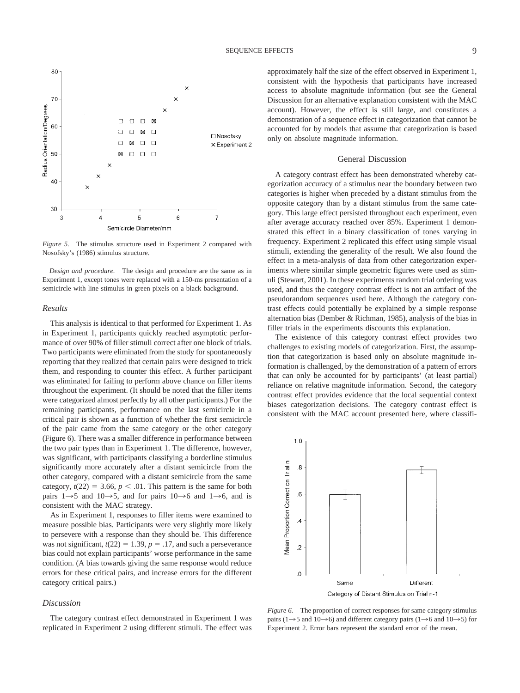

*Figure 5.* The stimulus structure used in Experiment 2 compared with Nosofsky's (1986) stimulus structure.

*Design and procedure.* The design and procedure are the same as in Experiment 1, except tones were replaced with a 150-ms presentation of a semicircle with line stimulus in green pixels on a black background.

#### *Results*

This analysis is identical to that performed for Experiment 1. As in Experiment 1, participants quickly reached asymptotic performance of over 90% of filler stimuli correct after one block of trials. Two participants were eliminated from the study for spontaneously reporting that they realized that certain pairs were designed to trick them, and responding to counter this effect. A further participant was eliminated for failing to perform above chance on filler items throughout the experiment. (It should be noted that the filler items were categorized almost perfectly by all other participants.) For the remaining participants, performance on the last semicircle in a critical pair is shown as a function of whether the first semicircle of the pair came from the same category or the other category (Figure 6). There was a smaller difference in performance between the two pair types than in Experiment 1. The difference, however, was significant, with participants classifying a borderline stimulus significantly more accurately after a distant semicircle from the other category, compared with a distant semicircle from the same category,  $t(22) = 3.66$ ,  $p < .01$ . This pattern is the same for both pairs  $1\rightarrow 5$  and  $10\rightarrow 5$ , and for pairs  $10\rightarrow 6$  and  $1\rightarrow 6$ , and is consistent with the MAC strategy.

As in Experiment 1, responses to filler items were examined to measure possible bias. Participants were very slightly more likely to persevere with a response than they should be. This difference was not significant,  $t(22) = 1.39$ ,  $p = .17$ , and such a perseverance bias could not explain participants' worse performance in the same condition. (A bias towards giving the same response would reduce errors for these critical pairs, and increase errors for the different category critical pairs.)

## *Discussion*

The category contrast effect demonstrated in Experiment 1 was replicated in Experiment 2 using different stimuli. The effect was approximately half the size of the effect observed in Experiment 1, consistent with the hypothesis that participants have increased access to absolute magnitude information (but see the General Discussion for an alternative explanation consistent with the MAC account). However, the effect is still large, and constitutes a demonstration of a sequence effect in categorization that cannot be accounted for by models that assume that categorization is based only on absolute magnitude information.

#### General Discussion

A category contrast effect has been demonstrated whereby categorization accuracy of a stimulus near the boundary between two categories is higher when preceded by a distant stimulus from the opposite category than by a distant stimulus from the same category. This large effect persisted throughout each experiment, even after average accuracy reached over 85%. Experiment 1 demonstrated this effect in a binary classification of tones varying in frequency. Experiment 2 replicated this effect using simple visual stimuli, extending the generality of the result. We also found the effect in a meta-analysis of data from other categorization experiments where similar simple geometric figures were used as stimuli (Stewart, 2001). In these experiments random trial ordering was used, and thus the category contrast effect is not an artifact of the pseudorandom sequences used here. Although the category contrast effects could potentially be explained by a simple response alternation bias (Dember & Richman, 1985), analysis of the bias in filler trials in the experiments discounts this explanation.

The existence of this category contrast effect provides two challenges to existing models of categorization. First, the assumption that categorization is based only on absolute magnitude information is challenged, by the demonstration of a pattern of errors that can only be accounted for by participants' (at least partial) reliance on relative magnitude information. Second, the category contrast effect provides evidence that the local sequential context biases categorization decisions. The category contrast effect is consistent with the MAC account presented here, where classifi-



*Figure 6.* The proportion of correct responses for same category stimulus pairs (1 $\rightarrow$ 5 and 10 $\rightarrow$ 6) and different category pairs (1 $\rightarrow$ 6 and 10 $\rightarrow$ 5) for Experiment 2. Error bars represent the standard error of the mean.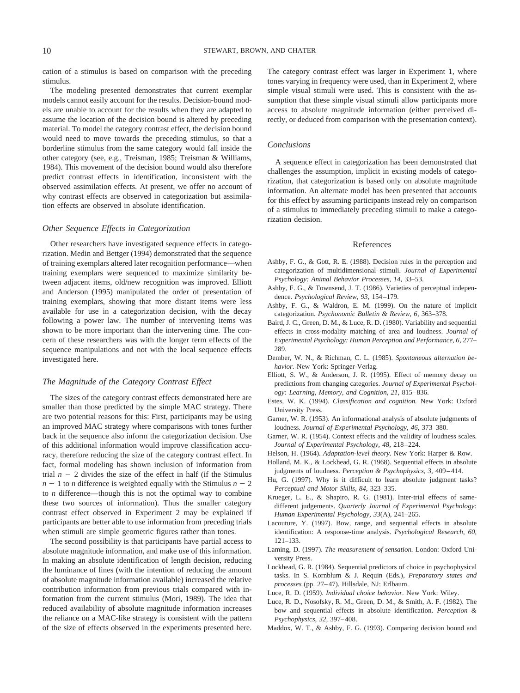cation of a stimulus is based on comparison with the preceding stimulus.

The modeling presented demonstrates that current exemplar models cannot easily account for the results. Decision-bound models are unable to account for the results when they are adapted to assume the location of the decision bound is altered by preceding material. To model the category contrast effect, the decision bound would need to move towards the preceding stimulus, so that a borderline stimulus from the same category would fall inside the other category (see, e.g., Treisman, 1985; Treisman & Williams, 1984). This movement of the decision bound would also therefore predict contrast effects in identification, inconsistent with the observed assimilation effects. At present, we offer no account of why contrast effects are observed in categorization but assimilation effects are observed in absolute identification.

## *Other Sequence Effects in Categorization*

Other researchers have investigated sequence effects in categorization. Medin and Bettger (1994) demonstrated that the sequence of training exemplars altered later recognition performance—when training exemplars were sequenced to maximize similarity between adjacent items, old/new recognition was improved. Elliott and Anderson (1995) manipulated the order of presentation of training exemplars, showing that more distant items were less available for use in a categorization decision, with the decay following a power law. The number of intervening items was shown to be more important than the intervening time. The concern of these researchers was with the longer term effects of the sequence manipulations and not with the local sequence effects investigated here.

# *The Magnitude of the Category Contrast Effect*

The sizes of the category contrast effects demonstrated here are smaller than those predicted by the simple MAC strategy. There are two potential reasons for this: First, participants may be using an improved MAC strategy where comparisons with tones further back in the sequence also inform the categorization decision. Use of this additional information would improve classification accuracy, therefore reducing the size of the category contrast effect. In fact, formal modeling has shown inclusion of information from trial  $n - 2$  divides the size of the effect in half (if the Stimulus  $n - 1$  to *n* difference is weighted equally with the Stimulus  $n - 2$ to *n* difference—though this is not the optimal way to combine these two sources of information). Thus the smaller category contrast effect observed in Experiment 2 may be explained if participants are better able to use information from preceding trials when stimuli are simple geometric figures rather than tones.

The second possibility is that participants have partial access to absolute magnitude information, and make use of this information. In making an absolute identification of length decision, reducing the luminance of lines (with the intention of reducing the amount of absolute magnitude information available) increased the relative contribution information from previous trials compared with information from the current stimulus (Mori, 1989). The idea that reduced availability of absolute magnitude information increases the reliance on a MAC-like strategy is consistent with the pattern of the size of effects observed in the experiments presented here.

The category contrast effect was larger in Experiment 1, where tones varying in frequency were used, than in Experiment 2, where simple visual stimuli were used. This is consistent with the assumption that these simple visual stimuli allow participants more access to absolute magnitude information (either perceived directly, or deduced from comparison with the presentation context).

## *Conclusions*

A sequence effect in categorization has been demonstrated that challenges the assumption, implicit in existing models of categorization, that categorization is based only on absolute magnitude information. An alternate model has been presented that accounts for this effect by assuming participants instead rely on comparison of a stimulus to immediately preceding stimuli to make a categorization decision.

## References

- Ashby, F. G., & Gott, R. E. (1988). Decision rules in the perception and categorization of multidimensional stimuli. *Journal of Experimental Psychology: Animal Behavior Processes, 14,* 33–53.
- Ashby, F. G., & Townsend, J. T. (1986). Varieties of perceptual independence. *Psychological Review, 93,* 154–179.
- Ashby, F. G., & Waldron, E. M. (1999). On the nature of implicit categorization. *Psychonomic Bulletin & Review, 6,* 363–378.
- Baird, J. C., Green, D. M., & Luce, R. D. (1980). Variability and sequential effects in cross-modality matching of area and loudness. *Journal of Experimental Psychology: Human Perception and Performance, 6,* 277– 289.
- Dember, W. N., & Richman, C. L. (1985). *Spontaneous alternation behavior.* New York: Springer-Verlag.
- Elliott, S. W., & Anderson, J. R. (1995). Effect of memory decay on predictions from changing categories. *Journal of Experimental Psychology: Learning, Memory, and Cognition, 21,* 815–836.
- Estes, W. K. (1994). *Classification and cognition.* New York: Oxford University Press.
- Garner, W. R. (1953). An informational analysis of absolute judgments of loudness. *Journal of Experimental Psychology, 46,* 373–380.
- Garner, W. R. (1954). Context effects and the validity of loudness scales. *Journal of Experimental Psychology, 48,* 218–224.
- Helson, H. (1964). *Adaptation-level theory.* New York: Harper & Row.
- Holland, M. K., & Lockhead, G. R. (1968). Sequential effects in absolute judgments of loudness. *Perception & Psychophysics, 3,* 409–414.
- Hu, G. (1997). Why is it difficult to learn absolute judgment tasks? *Perceptual and Motor Skills, 84,* 323–335.
- Krueger, L. E., & Shapiro, R. G. (1981). Inter-trial effects of samedifferent judgements. *Quarterly Journal of Experimental Psychology: Human Experimental Psychology, 33*(A), 241–265.
- Lacouture, Y. (1997). Bow, range, and sequential effects in absolute identification: A response-time analysis. *Psychological Research, 60,* 121–133.
- Laming, D. (1997). *The measurement of sensation.* London: Oxford University Press.
- Lockhead, G. R. (1984). Sequential predictors of choice in psychophysical tasks. In S. Kornblum & J. Requin (Eds.), *Preparatory states and processes* (pp. 27–47). Hillsdale, NJ: Erlbaum.
- Luce, R. D. (1959). *Individual choice behavior.* New York: Wiley.
- Luce, R. D., Nosofsky, R. M., Green, D. M., & Smith, A. F. (1982). The bow and sequential effects in absolute identification. *Perception & Psychophysics, 32,* 397–408.
- Maddox, W. T., & Ashby, F. G. (1993). Comparing decision bound and